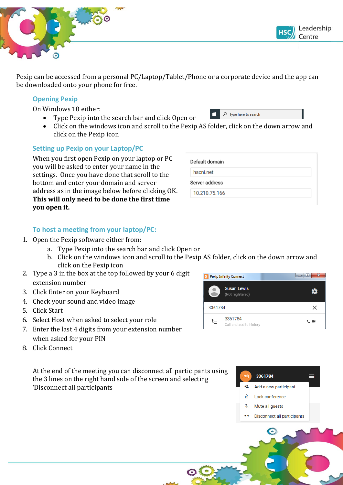

Pexip can be accessed from a personal PC/Laptop/Tablet/Phone or a corporate device and the app can be downloaded onto your phone for free.

### **Opening Pexip**

On Windows 10 either:

- Type Pexip into the search bar and click Open or
- Click on the windows icon and scroll to the Pexip AS folder, click on the down arrow and click on the Pexip icon

жI

## **Setting up Pexip on your Laptop/PC**

When you first open Pexip on your laptop or PC you will be asked to enter your name in the settings. Once you have done that scroll to the bottom and enter your domain and server address as in the image below before clicking OK. **This will only need to be done the first time you open it.**

| Default domain |  |
|----------------|--|
| hscni.net      |  |
| Server address |  |
| 10.210.75.166  |  |

 $\sqrt{2}$  Type here to search

# **To host a meeting from your laptop/PC:**

- 1. Open the Pexip software either from:
	- a. Type Pexip into the search bar and click Open or
	- b. Click on the windows icon and scroll to the Pexip AS folder, click on the down arrow and click on the Pexip icon
- 2. Type a 3 in the box at the top followed by your 6 digit extension number
- 3. Click Enter on your Keyboard
- 4. Check your sound and video image
- 5. Click Start
- 6. Select Host when asked to select your role
- 7. Enter the last 4 digits from your extension number when asked for your PIN
- 8. Click Connect

At the end of the meeting you can disconnect all participants using the 3 lines on the right hand side of the screen and selecting 'Disconnect all participants





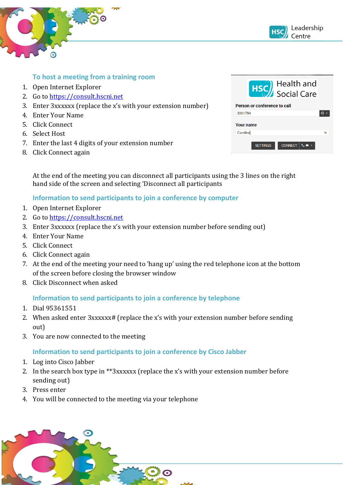



## **To host a meeting from a training room**

- 1. Open Internet Explorer
- 2. Go to [https://consult.hscni.net](https://consult.hscni.net/)
- 3. Enter 3xxxxxx (replace the x's with your extension number)
- 4. Enter Your Name
- 5. Click Connect
- 6. Select Host
- 7. Enter the last 4 digits of your extension number
- 8. Click Connect again

| <b>HSC</b> Health and<br>Social Care |   |  |
|--------------------------------------|---|--|
| Person or conference to call         |   |  |
| 3361784                              |   |  |
| <b>Your name</b>                     |   |  |
| Caroline                             | × |  |
| <b>CONNECT</b><br><b>SETTINGS</b>    |   |  |

At the end of the meeting you can disconnect all participants using the 3 lines on the right hand side of the screen and selecting 'Disconnect all participants

### **Information to send participants to join a conference by computer**

- 1. Open Internet Explorer
- 2. Go to [https://consult.hscni.net](https://consult.hscni.net/)
- 3. Enter 3xxxxxx (replace the x's with your extension number before sending out)
- 4. Enter Your Name
- 5. Click Connect
- 6. Click Connect again
- 7. At the end of the meeting your need to 'hang up' using the red telephone icon at the bottom of the screen before closing the browser window
- 8. Click Disconnect when asked

### **Information to send participants to join a conference by telephone**

- 1. Dial 95361551
- 2. When asked enter 3xxxxxx# (replace the x's with your extension number before sending out)
- 3. You are now connected to the meeting

### **Information to send participants to join a conference by Cisco Jabber**

- 1. Log into Cisco Jabber
- 2. In the search box type in \*\*3xxxxxx (replace the x's with your extension number before sending out)
- 3. Press enter
- 4. You will be connected to the meeting via your telephone